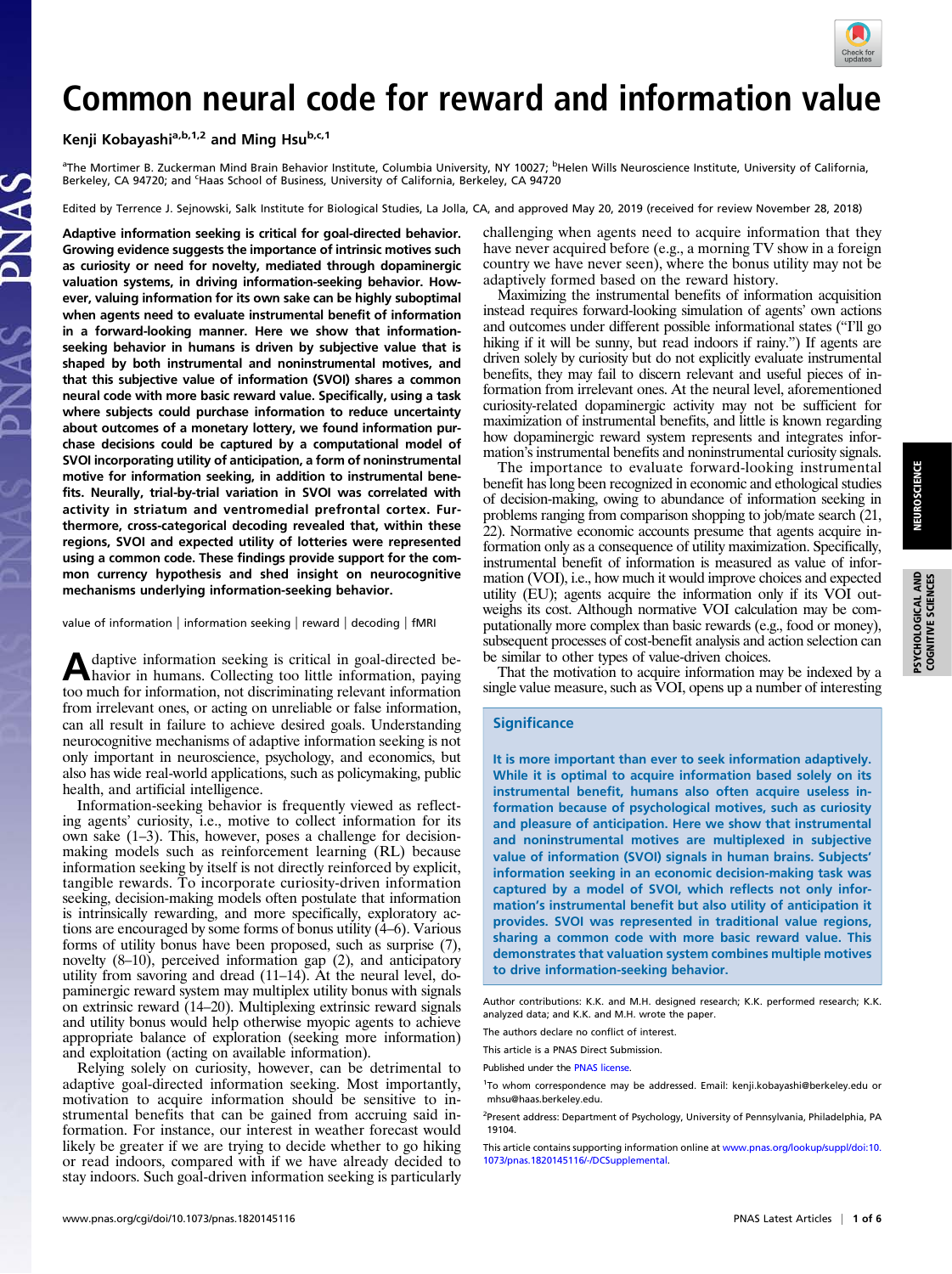

# Common neural code for reward and information value

Kenji Kobayashi<sup>a,b,1,2</sup> and Ming Hsu<sup>b,c,1</sup>

<sup>a</sup>The Mortimer B. Zuckerman Mind Brain Behavior Institute, Columbia University, NY 10027; <sup>b</sup>Helen Wills Neuroscience Institute, University of California, Berkeley, CA 94720; and <sup>c</sup>Haas School of Business, University of California, Berkeley, CA 94720

Edited by Terrence J. Sejnowski, Salk Institute for Biological Studies, La Jolla, CA, and approved May 20, 2019 (received for review November 28, 2018)

Adaptive information seeking is critical for goal-directed behavior. Growing evidence suggests the importance of intrinsic motives such as curiosity or need for novelty, mediated through dopaminergic valuation systems, in driving information-seeking behavior. However, valuing information for its own sake can be highly suboptimal when agents need to evaluate instrumental benefit of information in a forward-looking manner. Here we show that informationseeking behavior in humans is driven by subjective value that is shaped by both instrumental and noninstrumental motives, and that this subjective value of information (SVOI) shares a common neural code with more basic reward value. Specifically, using a task where subjects could purchase information to reduce uncertainty about outcomes of a monetary lottery, we found information purchase decisions could be captured by a computational model of SVOI incorporating utility of anticipation, a form of noninstrumental motive for information seeking, in addition to instrumental benefits. Neurally, trial-by-trial variation in SVOI was correlated with activity in striatum and ventromedial prefrontal cortex. Furthermore, cross-categorical decoding revealed that, within these regions, SVOI and expected utility of lotteries were represented using a common code. These findings provide support for the common currency hypothesis and shed insight on neurocognitive mechanisms underlying information-seeking behavior.

value of information | information seeking | reward | decoding | fMRI

Adaptive information seeking is critical in goal-directed be-havior in humans. Collecting too little information, paying too much for information, not discriminating relevant information from irrelevant ones, or acting on unreliable or false information, can all result in failure to achieve desired goals. Understanding neurocognitive mechanisms of adaptive information seeking is not only important in neuroscience, psychology, and economics, but also has wide real-world applications, such as policymaking, public health, and artificial intelligence.

Information-seeking behavior is frequently viewed as reflecting agents' curiosity, i.e., motive to collect information for its own sake (1–3). This, however, poses a challenge for decisionmaking models such as reinforcement learning (RL) because information seeking by itself is not directly reinforced by explicit, tangible rewards. To incorporate curiosity-driven information seeking, decision-making models often postulate that information is intrinsically rewarding, and more specifically, exploratory actions are encouraged by some forms of bonus utility  $(4-6)$ . Various forms of utility bonus have been proposed, such as surprise (7), novelty (8–10), perceived information gap (2), and anticipatory utility from savoring and dread (11–14). At the neural level, dopaminergic reward system may multiplex utility bonus with signals on extrinsic reward (14–20). Multiplexing extrinsic reward signals and utility bonus would help otherwise myopic agents to achieve appropriate balance of exploration (seeking more information) and exploitation (acting on available information).

Relying solely on curiosity, however, can be detrimental to adaptive goal-directed information seeking. Most importantly, motivation to acquire information should be sensitive to instrumental benefits that can be gained from accruing said information. For instance, our interest in weather forecast would likely be greater if we are trying to decide whether to go hiking or read indoors, compared with if we have already decided to stay indoors. Such goal-driven information seeking is particularly

challenging when agents need to acquire information that they have never acquired before (e.g., a morning TV show in a foreign country we have never seen), where the bonus utility may not be adaptively formed based on the reward history.

Maximizing the instrumental benefits of information acquisition instead requires forward-looking simulation of agents' own actions and outcomes under different possible informational states ("I'll go hiking if it will be sunny, but read indoors if rainy.") If agents are driven solely by curiosity but do not explicitly evaluate instrumental benefits, they may fail to discern relevant and useful pieces of information from irrelevant ones. At the neural level, aforementioned curiosity-related dopaminergic activity may not be sufficient for maximization of instrumental benefits, and little is known regarding how dopaminergic reward system represents and integrates information's instrumental benefits and noninstrumental curiosity signals.

The importance to evaluate forward-looking instrumental benefit has long been recognized in economic and ethological studies of decision-making, owing to abundance of information seeking in problems ranging from comparison shopping to job/mate search (21, 22). Normative economic accounts presume that agents acquire information only as a consequence of utility maximization. Specifically, instrumental benefit of information is measured as value of information (VOI), i.e., how much it would improve choices and expected utility (EU); agents acquire the information only if its VOI outweighs its cost. Although normative VOI calculation may be computationally more complex than basic rewards (e.g., food or money), subsequent processes of cost-benefit analysis and action selection can be similar to other types of value-driven choices.

That the motivation to acquire information may be indexed by a single value measure, such as VOI, opens up a number of interesting

### **Significance**

It is more important than ever to seek information adaptively. While it is optimal to acquire information based solely on its instrumental benefit, humans also often acquire useless information because of psychological motives, such as curiosity and pleasure of anticipation. Here we show that instrumental and noninstrumental motives are multiplexed in subjective value of information (SVOI) signals in human brains. Subjects' information seeking in an economic decision-making task was captured by a model of SVOI, which reflects not only information's instrumental benefit but also utility of anticipation it provides. SVOI was represented in traditional value regions, sharing a common code with more basic reward value. This demonstrates that valuation system combines multiple motives to drive information-seeking behavior.

Author contributions: K.K. and M.H. designed research; K.K. performed research; K.K. analyzed data; and K.K. and M.H. wrote the paper.

The authors declare no conflict of interest.

This article is a PNAS Direct Submission.

Published under the [PNAS license.](https://www.pnas.org/site/aboutpnas/licenses.xhtml)

<sup>2</sup>Present address: Department of Psychology, University of Pennsylvania, Philadelphia, PA 19104.

This article contains supporting information online at [www.pnas.org/lookup/suppl/doi:10.](https://www.pnas.org/lookup/suppl/doi:10.1073/pnas.1820145116/-/DCSupplemental) [1073/pnas.1820145116/-/DCSupplemental](https://www.pnas.org/lookup/suppl/doi:10.1073/pnas.1820145116/-/DCSupplemental).

<sup>&</sup>lt;sup>1</sup>To whom correspondence may be addressed. Email: [kenji.kobayashi@berkeley.edu](mailto:kenji.kobayashi@berkeley.edu) or [mhsu@haas.berkeley.edu.](mailto:mhsu@haas.berkeley.edu)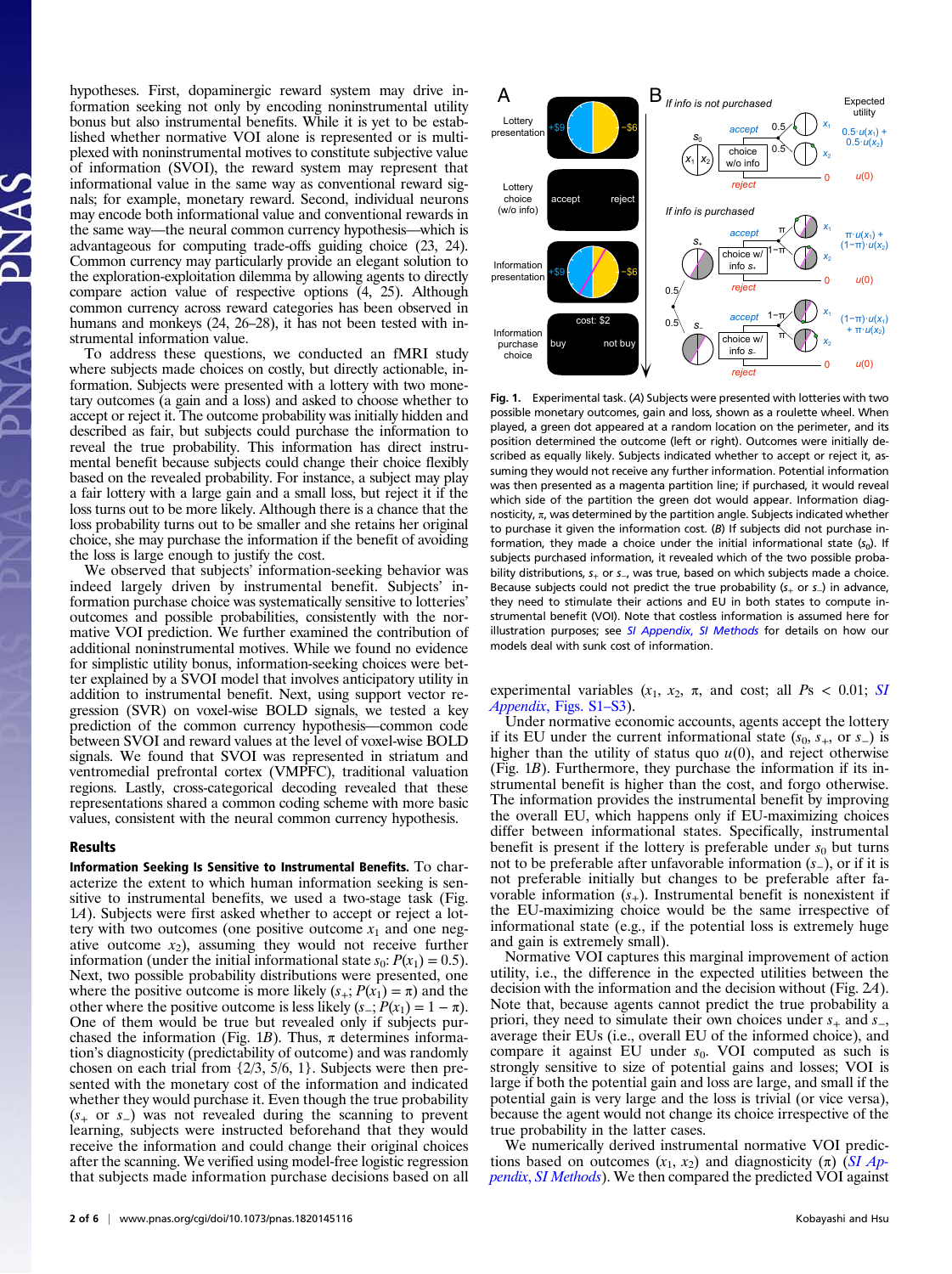hypotheses. First, dopaminergic reward system may drive information seeking not only by encoding noninstrumental utility bonus but also instrumental benefits. While it is yet to be established whether normative VOI alone is represented or is multiplexed with noninstrumental motives to constitute subjective value of information (SVOI), the reward system may represent that informational value in the same way as conventional reward signals; for example, monetary reward. Second, individual neurons may encode both informational value and conventional rewards in the same way—the neural common currency hypothesis—which is advantageous for computing trade-offs guiding choice (23, 24). Common currency may particularly provide an elegant solution to the exploration-exploitation dilemma by allowing agents to directly compare action value of respective options (4, 25). Although common currency across reward categories has been observed in humans and monkeys (24, 26–28), it has not been tested with instrumental information value.

To address these questions, we conducted an fMRI study where subjects made choices on costly, but directly actionable, information. Subjects were presented with a lottery with two monetary outcomes (a gain and a loss) and asked to choose whether to accept or reject it. The outcome probability was initially hidden and described as fair, but subjects could purchase the information to reveal the true probability. This information has direct instrumental benefit because subjects could change their choice flexibly based on the revealed probability. For instance, a subject may play a fair lottery with a large gain and a small loss, but reject it if the loss turns out to be more likely. Although there is a chance that the loss probability turns out to be smaller and she retains her original choice, she may purchase the information if the benefit of avoiding the loss is large enough to justify the cost.

We observed that subjects' information-seeking behavior was indeed largely driven by instrumental benefit. Subjects' information purchase choice was systematically sensitive to lotteries' outcomes and possible probabilities, consistently with the normative VOI prediction. We further examined the contribution of additional noninstrumental motives. While we found no evidence for simplistic utility bonus, information-seeking choices were better explained by a SVOI model that involves anticipatory utility in addition to instrumental benefit. Next, using support vector regression (SVR) on voxel-wise BOLD signals, we tested a key prediction of the common currency hypothesis—common code between SVOI and reward values at the level of voxel-wise BOLD signals. We found that SVOI was represented in striatum and ventromedial prefrontal cortex (VMPFC), traditional valuation regions. Lastly, cross-categorical decoding revealed that these representations shared a common coding scheme with more basic values, consistent with the neural common currency hypothesis.

#### Results

Information Seeking Is Sensitive to Instrumental Benefits. To characterize the extent to which human information seeking is sensitive to instrumental benefits, we used a two-stage task (Fig. 1A). Subjects were first asked whether to accept or reject a lottery with two outcomes (one positive outcome  $x_1$  and one negative outcome  $x_2$ ), assuming they would not receive further information (under the initial informational state  $s_0$ :  $P(x_1) = 0.5$ ). Next, two possible probability distributions were presented, one where the positive outcome is more likely  $(s_+; P(x_1) = \pi)$  and the other where the positive outcome is less likely  $(s_-, P(x_1) = 1 - \pi)$ . One of them would be true but revealed only if subjects purchased the information (Fig. 1B). Thus,  $\pi$  determines information's diagnosticity (predictability of outcome) and was randomly chosen on each trial from {2/3, 5/6, 1}. Subjects were then presented with the monetary cost of the information and indicated whether they would purchase it. Even though the true probability  $(s_{+}$  or s−) was not revealed during the scanning to prevent learning, subjects were instructed beforehand that they would receive the information and could change their original choices after the scanning. We verified using model-free logistic regression that subjects made information purchase decisions based on all



Fig. 1. Experimental task. (A) Subjects were presented with lotteries with two possible monetary outcomes, gain and loss, shown as a roulette wheel. When played, a green dot appeared at a random location on the perimeter, and its position determined the outcome (left or right). Outcomes were initially described as equally likely. Subjects indicated whether to accept or reject it, assuming they would not receive any further information. Potential information was then presented as a magenta partition line; if purchased, it would reveal which side of the partition the green dot would appear. Information diagnosticity,  $π$ , was determined by the partition angle. Subjects indicated whether to purchase it given the information cost. (B) If subjects did not purchase information, they made a choice under the initial informational state  $(s_0)$ . If subjects purchased information, it revealed which of the two possible probability distributions,  $s_{+}$  or  $s_{-}$ , was true, based on which subjects made a choice. Because subjects could not predict the true probability ( $s_{+}$  or  $s_{-}$ ) in advance, they need to stimulate their actions and EU in both states to compute instrumental benefit (VOI). Note that costless information is assumed here for illustration purposes; see [SI Appendix](https://www.pnas.org/lookup/suppl/doi:10.1073/pnas.1820145116/-/DCSupplemental), SI Methods for details on how our models deal with sunk cost of information.

experimental variables  $(x_1, x_2, \pi,$  and cost; all  $Ps < 0.01$ ; [SI](https://www.pnas.org/lookup/suppl/doi:10.1073/pnas.1820145116/-/DCSupplemental) Appendix[, Figs. S1](https://www.pnas.org/lookup/suppl/doi:10.1073/pnas.1820145116/-/DCSupplemental)–[S3](https://www.pnas.org/lookup/suppl/doi:10.1073/pnas.1820145116/-/DCSupplemental)).

Under normative economic accounts, agents accept the lottery if its EU under the current informational state  $(s_0, s_+, \text{ or } s_-)$  is higher than the utility of status quo  $u(0)$ , and reject otherwise (Fig. 1B). Furthermore, they purchase the information if its instrumental benefit is higher than the cost, and forgo otherwise. The information provides the instrumental benefit by improving the overall EU, which happens only if EU-maximizing choices differ between informational states. Specifically, instrumental benefit is present if the lottery is preferable under  $s_0$  but turns not to be preferable after unfavorable information (s−), or if it is not preferable initially but changes to be preferable after favorable information  $(s_{+})$ . Instrumental benefit is nonexistent if the EU-maximizing choice would be the same irrespective of informational state (e.g., if the potential loss is extremely huge and gain is extremely small).

Normative VOI captures this marginal improvement of action utility, i.e., the difference in the expected utilities between the decision with the information and the decision without (Fig. 2A). Note that, because agents cannot predict the true probability a priori, they need to simulate their own choices under  $s_+$  and  $s_-,$ average their EUs (i.e., overall EU of the informed choice), and compare it against EU under  $s_0$ . VOI computed as such is strongly sensitive to size of potential gains and losses; VOI is large if both the potential gain and loss are large, and small if the potential gain is very large and the loss is trivial (or vice versa), because the agent would not change its choice irrespective of the true probability in the latter cases.

We numerically derived instrumental normative VOI predictions based on outcomes  $(x_1, x_2)$  and diagnosticity  $(\pi)$  ([SI Ap-](https://www.pnas.org/lookup/suppl/doi:10.1073/pnas.1820145116/-/DCSupplemental)*pendix, [SI Methods](https://www.pnas.org/lookup/suppl/doi:10.1073/pnas.1820145116/-/DCSupplemental)*). We then compared the predicted VOI against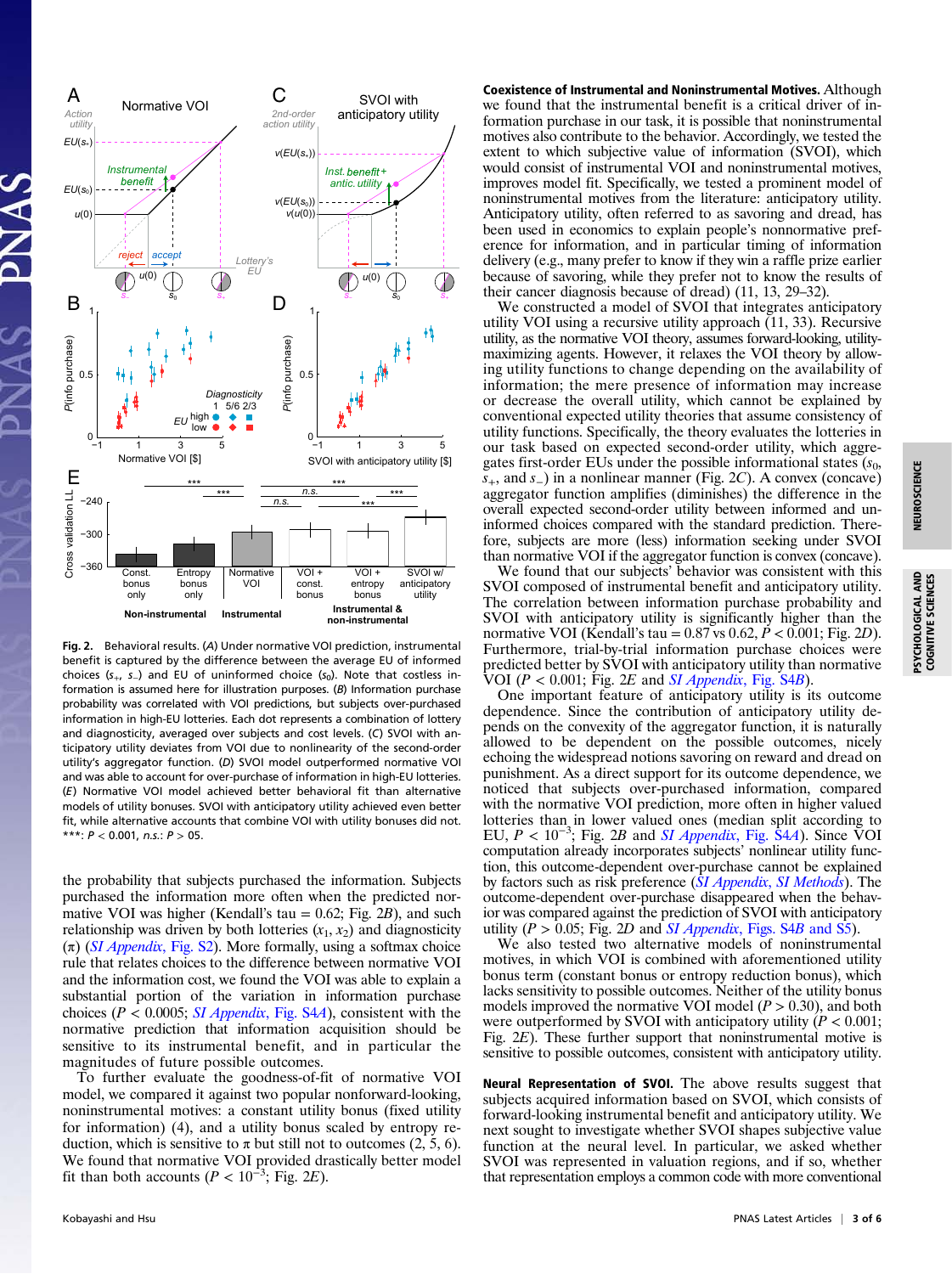

Fig. 2. Behavioral results. (A) Under normative VOI prediction, instrumental benefit is captured by the difference between the average EU of informed choices (s<sub>+</sub>, s<sub>−</sub>) and EU of uninformed choice (s<sub>0</sub>). Note that costless information is assumed here for illustration purposes. (B) Information purchase probability was correlated with VOI predictions, but subjects over-purchased information in high-EU lotteries. Each dot represents a combination of lottery and diagnosticity, averaged over subjects and cost levels. (C) SVOI with anticipatory utility deviates from VOI due to nonlinearity of the second-order utility's aggregator function. (D) SVOI model outperformed normative VOI and was able to account for over-purchase of information in high-EU lotteries. (E) Normative VOI model achieved better behavioral fit than alternative models of utility bonuses. SVOI with anticipatory utility achieved even better fit, while alternative accounts that combine VOI with utility bonuses did not. \*\*\*:  $P < 0.001$ , n.s.:  $P > 05$ .

the probability that subjects purchased the information. Subjects purchased the information more often when the predicted normative VOI was higher (Kendall's tau =  $0.62$ ; Fig.  $2B$ ), and such relationship was driven by both lotteries  $(x_1, x_2)$  and diagnosticity  $(\pi)$  (*[SI Appendix](https://www.pnas.org/lookup/suppl/doi:10.1073/pnas.1820145116/-/DCSupplemental)*, Fig. S2). More formally, using a softmax choice rule that relates choices to the difference between normative VOI and the information cost, we found the VOI was able to explain a substantial portion of the variation in information purchase choices ( $P < 0.0005$ ; *[SI Appendix](https://www.pnas.org/lookup/suppl/doi:10.1073/pnas.1820145116/-/DCSupplemental)*, Fig. S4*A*), consistent with the normative prediction that information acquisition should be sensitive to its instrumental benefit, and in particular the magnitudes of future possible outcomes.

To further evaluate the goodness-of-fit of normative VOI model, we compared it against two popular nonforward-looking, noninstrumental motives: a constant utility bonus (fixed utility for information) (4), and a utility bonus scaled by entropy reduction, which is sensitive to  $\pi$  but still not to outcomes (2, 5, 6). We found that normative VOI provided drastically better model fit than both accounts ( $P < 10^{-3}$ ; Fig. 2E).

Coexistence of Instrumental and Noninstrumental Motives. Although we found that the instrumental benefit is a critical driver of information purchase in our task, it is possible that noninstrumental motives also contribute to the behavior. Accordingly, we tested the extent to which subjective value of information (SVOI), which would consist of instrumental VOI and noninstrumental motives, improves model fit. Specifically, we tested a prominent model of noninstrumental motives from the literature: anticipatory utility. Anticipatory utility, often referred to as savoring and dread, has been used in economics to explain people's nonnormative preference for information, and in particular timing of information delivery (e.g., many prefer to know if they win a raffle prize earlier because of savoring, while they prefer not to know the results of their cancer diagnosis because of dread) (11, 13, 29–32).

We constructed a model of SVOI that integrates anticipatory utility VOI using a recursive utility approach (11, 33). Recursive utility, as the normative VOI theory, assumes forward-looking, utilitymaximizing agents. However, it relaxes the VOI theory by allowing utility functions to change depending on the availability of information; the mere presence of information may increase or decrease the overall utility, which cannot be explained by conventional expected utility theories that assume consistency of utility functions. Specifically, the theory evaluates the lotteries in our task based on expected second-order utility, which aggregates first-order EUs under the possible informational states  $(s<sub>0</sub>,$  $s_{+}$ , and  $s_{-}$ ) in a nonlinear manner (Fig. 2C). A convex (concave) aggregator function amplifies (diminishes) the difference in the overall expected second-order utility between informed and uninformed choices compared with the standard prediction. Therefore, subjects are more (less) information seeking under SVOI than normative VOI if the aggregator function is convex (concave).

We found that our subjects' behavior was consistent with this SVOI composed of instrumental benefit and anticipatory utility. The correlation between information purchase probability and SVOI with anticipatory utility is significantly higher than the normative VOI (Kendall's tau =  $0.87$  vs  $0.62$ ,  $\dot{P}$  <  $0.001$ ; Fig. 2D). Furthermore, trial-by-trial information purchase choices were predicted better by SVOI with anticipatory utility than normative VOI ( $P < 0.001$ ; Fig. 2E and *[SI Appendix](https://www.pnas.org/lookup/suppl/doi:10.1073/pnas.1820145116/-/DCSupplemental)*, Fig. S4B).

One important feature of anticipatory utility is its outcome dependence. Since the contribution of anticipatory utility depends on the convexity of the aggregator function, it is naturally allowed to be dependent on the possible outcomes, nicely echoing the widespread notions savoring on reward and dread on punishment. As a direct support for its outcome dependence, we noticed that subjects over-purchased information, compared with the normative VOI prediction, more often in higher valued lotteries than in lower valued ones (median split according to EU,  $P < 10^{-3}$ ; Fig. 2B and *[SI Appendix](https://www.pnas.org/lookup/suppl/doi:10.1073/pnas.1820145116/-/DCSupplemental)*, Fig. S<sup>4</sup>A). Since VOI computation already incorporates subjects' nonlinear utility function, this outcome-dependent over-purchase cannot be explained by factors such as risk preference ([SI Appendix](https://www.pnas.org/lookup/suppl/doi:10.1073/pnas.1820145116/-/DCSupplemental), SI Methods). The outcome-dependent over-purchase disappeared when the behavior was compared against the prediction of SVOI with anticipatory utility ( $P > 0.05$ ; Fig. 2D and *SI Appendix*[, Figs. S4](https://www.pnas.org/lookup/suppl/doi:10.1073/pnas.1820145116/-/DCSupplemental)B and S5).

We also tested two alternative models of noninstrumental motives, in which VOI is combined with aforementioned utility bonus term (constant bonus or entropy reduction bonus), which lacks sensitivity to possible outcomes. Neither of the utility bonus models improved the normative VOI model  $(P > 0.30)$ , and both were outperformed by SVOI with anticipatory utility  $(P < 0.001$ ; Fig. 2E). These further support that noninstrumental motive is sensitive to possible outcomes, consistent with anticipatory utility.

Neural Representation of SVOI. The above results suggest that subjects acquired information based on SVOI, which consists of forward-looking instrumental benefit and anticipatory utility. We next sought to investigate whether SVOI shapes subjective value function at the neural level. In particular, we asked whether SVOI was represented in valuation regions, and if so, whether that representation employs a common code with more conventional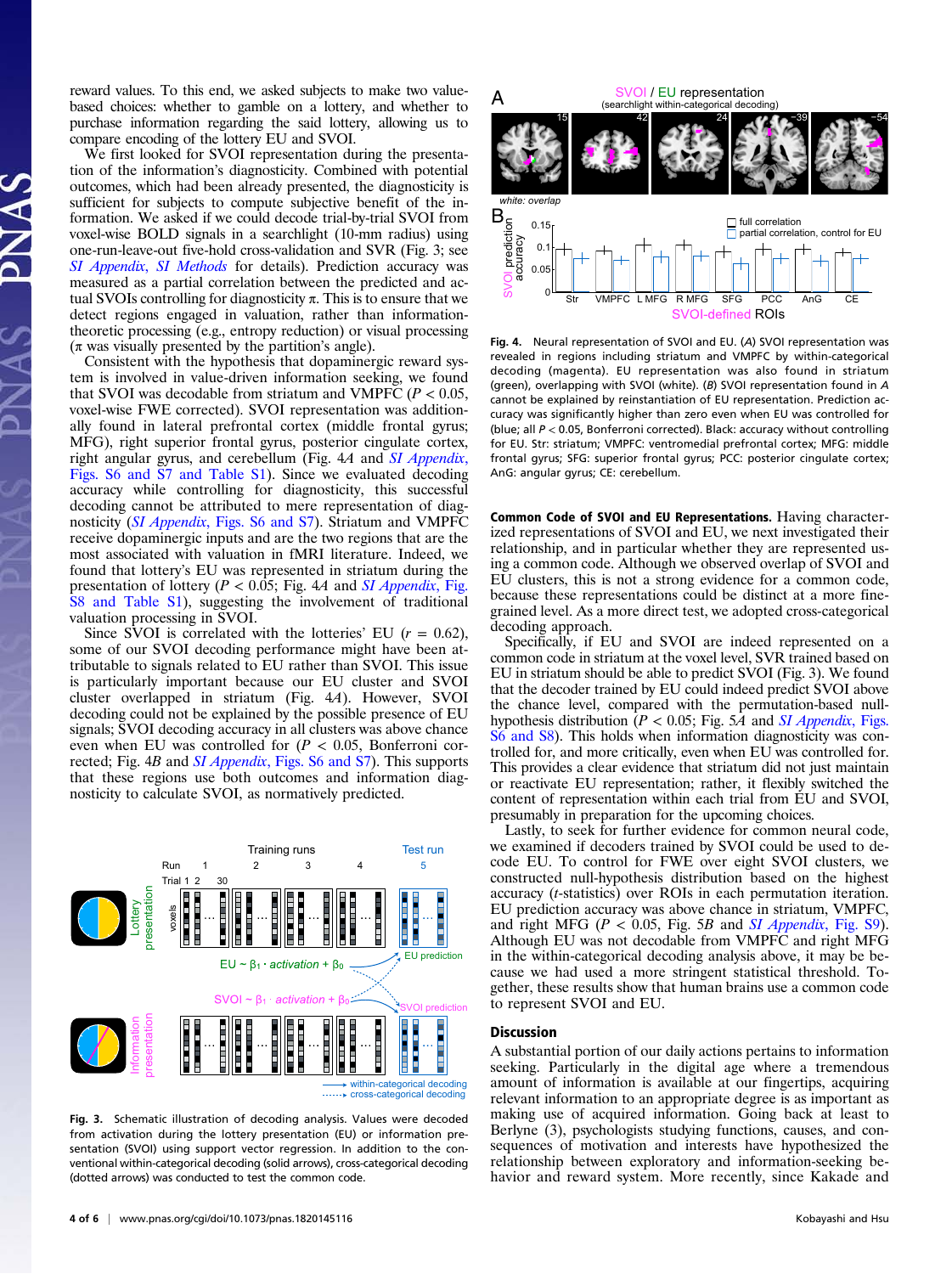reward values. To this end, we asked subjects to make two valuebased choices: whether to gamble on a lottery, and whether to purchase information regarding the said lottery, allowing us to compare encoding of the lottery EU and SVOI.

We first looked for SVOI representation during the presentation of the information's diagnosticity. Combined with potential outcomes, which had been already presented, the diagnosticity is sufficient for subjects to compute subjective benefit of the information. We asked if we could decode trial-by-trial SVOI from voxel-wise BOLD signals in a searchlight (10-mm radius) using one-run-leave-out five-hold cross-validation and SVR (Fig. 3; see [SI Appendix](https://www.pnas.org/lookup/suppl/doi:10.1073/pnas.1820145116/-/DCSupplemental), SI Methods for details). Prediction accuracy was measured as a partial correlation between the predicted and actual SVOIs controlling for diagnosticity π. This is to ensure that we detect regions engaged in valuation, rather than informationtheoretic processing (e.g., entropy reduction) or visual processing  $(\pi$  was visually presented by the partition's angle).

Consistent with the hypothesis that dopaminergic reward system is involved in value-driven information seeking, we found that SVOI was decodable from striatum and VMPFC ( $P < 0.05$ , voxel-wise FWE corrected). SVOI representation was additionally found in lateral prefrontal cortex (middle frontal gyrus; MFG), right superior frontal gyrus, posterior cingulate cortex, right angular gyrus, and cerebellum (Fig. 4A and [SI Appendix](https://www.pnas.org/lookup/suppl/doi:10.1073/pnas.1820145116/-/DCSupplemental), [Figs. S6 and S7 and Table S1\)](https://www.pnas.org/lookup/suppl/doi:10.1073/pnas.1820145116/-/DCSupplemental). Since we evaluated decoding accuracy while controlling for diagnosticity, this successful decoding cannot be attributed to mere representation of diag-nosticity (SI Appendix[, Figs. S6 and S7](https://www.pnas.org/lookup/suppl/doi:10.1073/pnas.1820145116/-/DCSupplemental)). Striatum and VMPFC receive dopaminergic inputs and are the two regions that are the most associated with valuation in fMRI literature. Indeed, we found that lottery's EU was represented in striatum during the presentation of lottery ( $P < 0.05$ ; Fig. 4A and *[SI Appendix](https://www.pnas.org/lookup/suppl/doi:10.1073/pnas.1820145116/-/DCSupplemental)*, Fig. [S8 and Table S1](https://www.pnas.org/lookup/suppl/doi:10.1073/pnas.1820145116/-/DCSupplemental)), suggesting the involvement of traditional valuation processing in SVOI.

Since SVOI is correlated with the lotteries' EU  $(r = 0.62)$ , some of our SVOI decoding performance might have been attributable to signals related to EU rather than SVOI. This issue is particularly important because our EU cluster and SVOI cluster overlapped in striatum (Fig. 4A). However, SVOI decoding could not be explained by the possible presence of EU signals; SVOI decoding accuracy in all clusters was above chance even when EU was controlled for  $(P < 0.05$ , Bonferroni corrected; Fig. 4B and *SI Appendix*[, Figs. S6 and S7\)](https://www.pnas.org/lookup/suppl/doi:10.1073/pnas.1820145116/-/DCSupplemental). This supports that these regions use both outcomes and information diagnosticity to calculate SVOI, as normatively predicted.



...... cross-categorical decoding

Fig. 3. Schematic illustration of decoding analysis. Values were decoded from activation during the lottery presentation (EU) or information presentation (SVOI) using support vector regression. In addition to the conventional within-categorical decoding (solid arrows), cross-categorical decoding (dotted arrows) was conducted to test the common code.



Fig. 4. Neural representation of SVOI and EU. (A) SVOI representation was revealed in regions including striatum and VMPFC by within-categorical decoding (magenta). EU representation was also found in striatum (green), overlapping with SVOI (white). (B) SVOI representation found in A cannot be explained by reinstantiation of EU representation. Prediction accuracy was significantly higher than zero even when EU was controlled for (blue; all  $P < 0.05$ , Bonferroni corrected). Black: accuracy without controlling for EU. Str: striatum; VMPFC: ventromedial prefrontal cortex; MFG: middle frontal gyrus; SFG: superior frontal gyrus; PCC: posterior cingulate cortex; AnG: angular gyrus; CE: cerebellum.

Common Code of SVOI and EU Representations. Having characterized representations of SVOI and EU, we next investigated their relationship, and in particular whether they are represented using a common code. Although we observed overlap of SVOI and EU clusters, this is not a strong evidence for a common code, because these representations could be distinct at a more finegrained level. As a more direct test, we adopted cross-categorical decoding approach.

Specifically, if EU and SVOI are indeed represented on a common code in striatum at the voxel level, SVR trained based on EU in striatum should be able to predict SVOI (Fig. 3). We found that the decoder trained by EU could indeed predict SVOI above the chance level, compared with the permutation-based nullhypothesis distribution ( $P < 0.05$ ; Fig. 5A and *[SI Appendix](https://www.pnas.org/lookup/suppl/doi:10.1073/pnas.1820145116/-/DCSupplemental)*, Figs. [S6 and S8\)](https://www.pnas.org/lookup/suppl/doi:10.1073/pnas.1820145116/-/DCSupplemental). This holds when information diagnosticity was controlled for, and more critically, even when EU was controlled for. This provides a clear evidence that striatum did not just maintain or reactivate EU representation; rather, it flexibly switched the content of representation within each trial from EU and SVOI, presumably in preparation for the upcoming choices.

Lastly, to seek for further evidence for common neural code, we examined if decoders trained by SVOI could be used to decode EU. To control for FWE over eight SVOI clusters, we constructed null-hypothesis distribution based on the highest accuracy (t-statistics) over ROIs in each permutation iteration. EU prediction accuracy was above chance in striatum, VMPFC, and right MFG ( $P < 0.05$ , Fig. 5B and *[SI Appendix](https://www.pnas.org/lookup/suppl/doi:10.1073/pnas.1820145116/-/DCSupplemental)*, Fig. S9). Although EU was not decodable from VMPFC and right MFG in the within-categorical decoding analysis above, it may be because we had used a more stringent statistical threshold. Together, these results show that human brains use a common code to represent SVOI and EU.

## **Discussion**

A substantial portion of our daily actions pertains to information seeking. Particularly in the digital age where a tremendous amount of information is available at our fingertips, acquiring relevant information to an appropriate degree is as important as making use of acquired information. Going back at least to Berlyne (3), psychologists studying functions, causes, and consequences of motivation and interests have hypothesized the relationship between exploratory and information-seeking behavior and reward system. More recently, since Kakade and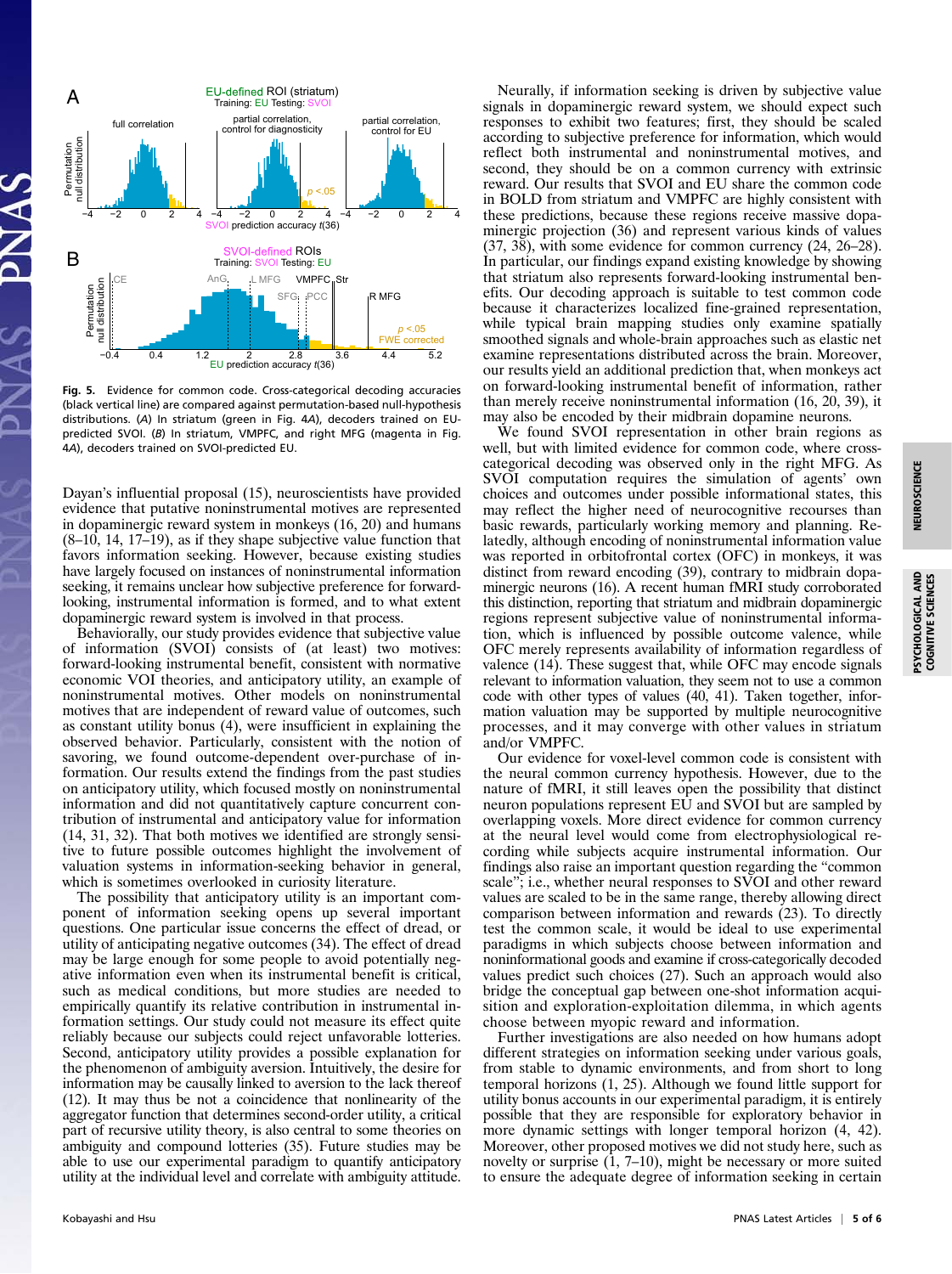

Fig. 5. Evidence for common code. Cross-categorical decoding accuracies (black vertical line) are compared against permutation-based null-hypothesis distributions. (A) In striatum (green in Fig. 4A), decoders trained on EUpredicted SVOI. (B) In striatum, VMPFC, and right MFG (magenta in Fig. 4A), decoders trained on SVOI-predicted EU.

Dayan's influential proposal (15), neuroscientists have provided evidence that putative noninstrumental motives are represented in dopaminergic reward system in monkeys (16, 20) and humans (8–10, 14, 17–19), as if they shape subjective value function that favors information seeking. However, because existing studies have largely focused on instances of noninstrumental information seeking, it remains unclear how subjective preference for forwardlooking, instrumental information is formed, and to what extent dopaminergic reward system is involved in that process.

Behaviorally, our study provides evidence that subjective value of information (SVOI) consists of (at least) two motives: forward-looking instrumental benefit, consistent with normative economic VOI theories, and anticipatory utility, an example of noninstrumental motives. Other models on noninstrumental motives that are independent of reward value of outcomes, such as constant utility bonus (4), were insufficient in explaining the observed behavior. Particularly, consistent with the notion of savoring, we found outcome-dependent over-purchase of information. Our results extend the findings from the past studies on anticipatory utility, which focused mostly on noninstrumental information and did not quantitatively capture concurrent contribution of instrumental and anticipatory value for information (14, 31, 32). That both motives we identified are strongly sensitive to future possible outcomes highlight the involvement of valuation systems in information-seeking behavior in general, which is sometimes overlooked in curiosity literature.

The possibility that anticipatory utility is an important component of information seeking opens up several important questions. One particular issue concerns the effect of dread, or utility of anticipating negative outcomes (34). The effect of dread may be large enough for some people to avoid potentially negative information even when its instrumental benefit is critical, such as medical conditions, but more studies are needed to empirically quantify its relative contribution in instrumental information settings. Our study could not measure its effect quite reliably because our subjects could reject unfavorable lotteries. Second, anticipatory utility provides a possible explanation for the phenomenon of ambiguity aversion. Intuitively, the desire for information may be causally linked to aversion to the lack thereof (12). It may thus be not a coincidence that nonlinearity of the aggregator function that determines second-order utility, a critical part of recursive utility theory, is also central to some theories on ambiguity and compound lotteries (35). Future studies may be able to use our experimental paradigm to quantify anticipatory utility at the individual level and correlate with ambiguity attitude.

Neurally, if information seeking is driven by subjective value signals in dopaminergic reward system, we should expect such responses to exhibit two features; first, they should be scaled according to subjective preference for information, which would reflect both instrumental and noninstrumental motives, and second, they should be on a common currency with extrinsic reward. Our results that SVOI and EU share the common code in BOLD from striatum and VMPFC are highly consistent with these predictions, because these regions receive massive dopaminergic projection (36) and represent various kinds of values (37, 38), with some evidence for common currency (24, 26–28). In particular, our findings expand existing knowledge by showing that striatum also represents forward-looking instrumental benefits. Our decoding approach is suitable to test common code because it characterizes localized fine-grained representation, while typical brain mapping studies only examine spatially smoothed signals and whole-brain approaches such as elastic net examine representations distributed across the brain. Moreover, our results yield an additional prediction that, when monkeys act on forward-looking instrumental benefit of information, rather than merely receive noninstrumental information (16, 20, 39), it may also be encoded by their midbrain dopamine neurons.

We found SVOI representation in other brain regions as well, but with limited evidence for common code, where crosscategorical decoding was observed only in the right MFG. As SVOI computation requires the simulation of agents' own choices and outcomes under possible informational states, this may reflect the higher need of neurocognitive recourses than basic rewards, particularly working memory and planning. Relatedly, although encoding of noninstrumental information value was reported in orbitofrontal cortex (OFC) in monkeys, it was distinct from reward encoding (39), contrary to midbrain dopaminergic neurons (16). A recent human fMRI study corroborated this distinction, reporting that striatum and midbrain dopaminergic regions represent subjective value of noninstrumental information, which is influenced by possible outcome valence, while OFC merely represents availability of information regardless of valence (14). These suggest that, while OFC may encode signals relevant to information valuation, they seem not to use a common code with other types of values (40, 41). Taken together, information valuation may be supported by multiple neurocognitive processes, and it may converge with other values in striatum and/or VMPFC.

Our evidence for voxel-level common code is consistent with the neural common currency hypothesis. However, due to the nature of fMRI, it still leaves open the possibility that distinct neuron populations represent EU and SVOI but are sampled by overlapping voxels. More direct evidence for common currency at the neural level would come from electrophysiological recording while subjects acquire instrumental information. Our findings also raise an important question regarding the "common scale"; i.e., whether neural responses to SVOI and other reward values are scaled to be in the same range, thereby allowing direct comparison between information and rewards (23). To directly test the common scale, it would be ideal to use experimental paradigms in which subjects choose between information and noninformational goods and examine if cross-categorically decoded values predict such choices (27). Such an approach would also bridge the conceptual gap between one-shot information acquisition and exploration-exploitation dilemma, in which agents choose between myopic reward and information.

Further investigations are also needed on how humans adopt different strategies on information seeking under various goals, from stable to dynamic environments, and from short to long temporal horizons (1, 25). Although we found little support for utility bonus accounts in our experimental paradigm, it is entirely possible that they are responsible for exploratory behavior in more dynamic settings with longer temporal horizon (4, 42). Moreover, other proposed motives we did not study here, such as novelty or surprise (1, 7–10), might be necessary or more suited to ensure the adequate degree of information seeking in certain